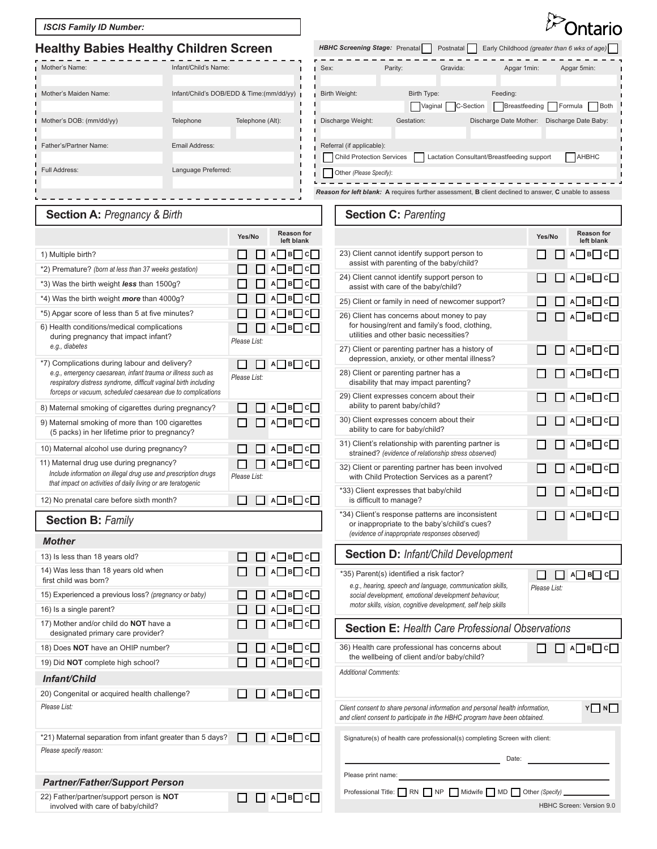#### *ISCIS Family ID Number:*

## **Healthy Babies Healthy Children Screen** Prenatal

| <b>Healthy Bables Healthy Children Screen</b> |                      |                                          | <b>HBHC Screening Stage: Prenatal</b><br>Early Childhood (greater than 6 wks of age)<br>Postnatal |                        |           |                                            |                                                                                                                            |  |
|-----------------------------------------------|----------------------|------------------------------------------|---------------------------------------------------------------------------------------------------|------------------------|-----------|--------------------------------------------|----------------------------------------------------------------------------------------------------------------------------|--|
| Mother's Name:                                | Infant/Child's Name: |                                          | Sex:                                                                                              | Parity:                | Gravida:  | Apgar 1min:                                | Apgar 5min:                                                                                                                |  |
|                                               |                      |                                          |                                                                                                   |                        |           |                                            |                                                                                                                            |  |
| Mother's Maiden Name:                         |                      | Infant/Child's DOB/EDD & Time:(mm/dd/yy) | Birth Weight:                                                                                     | Birth Type:<br>Vaginal | C-Section | Feeding:<br>Breastfeeding                  | Formula Both                                                                                                               |  |
| Mother's DOB: (mm/dd/yy)                      | Telephone            | Telephone (Alt):                         | Discharge Weight:                                                                                 | Gestation:             |           | Discharge Date Mother:                     | Discharge Date Baby:                                                                                                       |  |
| Father's/Partner Name:                        | Email Address:       |                                          |                                                                                                   |                        |           |                                            |                                                                                                                            |  |
|                                               |                      |                                          | Referral (if applicable):<br><b>Child Protection Services</b>                                     |                        |           | Lactation Consultant/Breastfeeding support | AHBHC                                                                                                                      |  |
| Full Address:                                 | Language Preferred:  |                                          | Other (Please Specify):                                                                           |                        |           |                                            |                                                                                                                            |  |
|                                               |                      |                                          |                                                                                                   |                        |           |                                            | <b>Reason for left blank:</b> A requires further assessment, <b>B</b> client declined to answer, <b>C</b> unable to assess |  |
|                                               |                      |                                          |                                                                                                   |                        |           |                                            |                                                                                                                            |  |

**Section C:** *Parenting*

## **Section A:** *Pregnancy & Birth*

|                                                                                                                                                                                                                                                 | Yes/No       |  | <b>Reason for</b><br>left blank |  |
|-------------------------------------------------------------------------------------------------------------------------------------------------------------------------------------------------------------------------------------------------|--------------|--|---------------------------------|--|
| 1) Multiple birth?                                                                                                                                                                                                                              |              |  | $A$ $B$ $C$                     |  |
| *2) Premature? (born at less than 37 weeks gestation)                                                                                                                                                                                           |              |  | B<br>1c<br>А                    |  |
| *3) Was the birth weight less than 1500g?                                                                                                                                                                                                       |              |  | $\vert B \vert$<br>Aļ<br>c      |  |
| *4) Was the birth weight more than 4000g?                                                                                                                                                                                                       |              |  | $\vert$ B<br>A<br>с             |  |
| *5) Apgar score of less than 5 at five minutes?                                                                                                                                                                                                 |              |  | <b>B</b><br>AL<br>c             |  |
| 6) Health conditions/medical complications<br>during pregnancy that impact infant?<br>e.g., diabetes                                                                                                                                            | Please List: |  | A B C                           |  |
| *7) Complications during labour and delivery?<br>e.g., emergency caesarean, infant trauma or illness such as<br>respiratory distress syndrome, difficult vaginal birth including<br>forceps or vacuum, scheduled caesarean due to complications | Please List: |  | $A$ $B$ $C$                     |  |
| 8) Maternal smoking of cigarettes during pregnancy?                                                                                                                                                                                             |              |  | A B C                           |  |
| 9) Maternal smoking of more than 100 cigarettes<br>(5 packs) in her lifetime prior to pregnancy?                                                                                                                                                |              |  | $A \cup B \cup C$               |  |
| 10) Maternal alcohol use during pregnancy?                                                                                                                                                                                                      |              |  | A B C                           |  |
| 11) Maternal drug use during pregnancy?<br>Include information on illegal drug use and prescription drugs<br>that impact on activities of daily living or are teratogenic                                                                       | Please List: |  | A B C                           |  |
| 12) No prenatal care before sixth month?                                                                                                                                                                                                        |              |  | ] а⊟ в⊟ с[                      |  |
|                                                                                                                                                                                                                                                 |              |  |                                 |  |
| <b>Section B: Family</b>                                                                                                                                                                                                                        |              |  |                                 |  |
| <b>Mother</b>                                                                                                                                                                                                                                   |              |  |                                 |  |
| 13) Is less than 18 years old?                                                                                                                                                                                                                  |              |  | A B C                           |  |
| 14) Was less than 18 years old when<br>first child was born?                                                                                                                                                                                    |              |  | A B C                           |  |
| 15) Experienced a previous loss? (pregnancy or baby)                                                                                                                                                                                            |              |  | A B<br>١c                       |  |
| 16) Is a single parent?                                                                                                                                                                                                                         |              |  | <b>B</b><br>A<br>c              |  |
| 17) Mother and/or child do NOT have a<br>designated primary care provider?                                                                                                                                                                      |              |  | A B C                           |  |
| 18) Does NOT have an OHIP number?                                                                                                                                                                                                               |              |  | $A$ $B$ $C$                     |  |
| 19) Did NOT complete high school?                                                                                                                                                                                                               |              |  | $A \Box B \Box C$               |  |
| Infant/Child                                                                                                                                                                                                                                    |              |  |                                 |  |
| 20) Congenital or acquired health challenge?<br>Please List:                                                                                                                                                                                    |              |  | B <br>ΑI<br>- I cl              |  |
| *21) Maternal separation from infant greater than 5 days?<br>Please specify reason:                                                                                                                                                             |              |  | $\Box$ A $\Box$ B $\Box$ C      |  |
| <b>Partner/Father/Support Person</b>                                                                                                                                                                                                            |              |  |                                 |  |

#### **Reason for left blank Yes/No Yes/No** 23) Client cannot identify support person to □  $\Box$   $\triangle$ **B**  $\Box$  **C** assist with parenting of the baby/child? 24) Client cannot identify support person to □ **A B C** assist with care of the baby/child?  $\Box$ 25) Client or family in need of newcomer support? **A B C** 26) Client has concerns about money to pay **A B C** for housing/rent and family's food, clothing, utilities and other basic necessities? 27) Client or parenting partner has a history of П **A B C** depression, anxiety, or other mental illness? 28) Client or parenting partner has a **A B C** disability that may impact parenting? 29) Client expresses concern about their **A B C** ability to parent baby/child? 30) Client expresses concern about their П **A B C** ability to care for baby/child? 31) Client's relationship with parenting partner is **A B C** strained? *(evidence of relationship stress observed)* 32) Client or parenting partner has been involved **A B C** with Child Protection Services as a parent? \*33) Client expresses that baby/child П **A B C** is difficult to manage? \*34) Client's response patterns are inconsistent **A B C** or inappropriate to the baby's/child's cues? *(evidence of inappropriate responses observed)* **Section D:** *Infant/Child Development* \*35) Parent(s) identified a risk factor? **A B C** *e.g., hearing, speech and language, communication skills, Please List: social development, emotional development behaviour, motor skills, vision, cognitive development, self help skills* **Section E:** *Health Care Professional Observations* 36) Health care professional has concerns about  $\Box$   $\Box$   $\Box$   $\Box$   $\Box$ the wellbeing of client and/or baby/child? *Additional Comments: Client consent to share personal information and personal health information,*  **Y N** *and client consent to participate in the HBHC program have been obtained.* Signature(s) of health care professional(s) completing Screen with client: Date: Please print name:

Professional Title: **RN | NP | Midwife | MD | Other** *(Specify)* 

HBHC Screen: Version 9.0